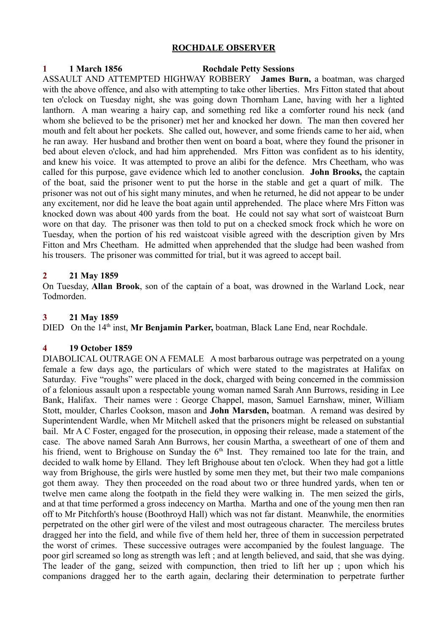## **ROCHDALE OBSERVER**

#### **1 1 March 1856 Rochdale Petty Sessions**

ASSAULT AND ATTEMPTED HIGHWAY ROBBERY **James Burn,** a boatman, was charged with the above offence, and also with attempting to take other liberties. Mrs Fitton stated that about ten o'clock on Tuesday night, she was going down Thornham Lane, having with her a lighted lanthorn. A man wearing a hairy cap, and something red like a comforter round his neck (and whom she believed to be the prisoner) met her and knocked her down. The man then covered her mouth and felt about her pockets. She called out, however, and some friends came to her aid, when he ran away. Her husband and brother then went on board a boat, where they found the prisoner in bed about eleven o'clock, and had him apprehended. Mrs Fitton was confident as to his identity, and knew his voice. It was attempted to prove an alibi for the defence. Mrs Cheetham, who was called for this purpose, gave evidence which led to another conclusion. **John Brooks,** the captain of the boat, said the prisoner went to put the horse in the stable and get a quart of milk. The prisoner was not out of his sight many minutes, and when he returned, he did not appear to be under any excitement, nor did he leave the boat again until apprehended. The place where Mrs Fitton was knocked down was about 400 yards from the boat. He could not say what sort of waistcoat Burn wore on that day. The prisoner was then told to put on a checked smock frock which he wore on Tuesday, when the portion of his red waistcoat visible agreed with the description given by Mrs Fitton and Mrs Cheetham. He admitted when apprehended that the sludge had been washed from his trousers. The prisoner was committed for trial, but it was agreed to accept bail.

## **2 21 May 1859**

On Tuesday, **Allan Brook**, son of the captain of a boat, was drowned in the Warland Lock, near Todmorden.

## **3 21 May 1859**

DIED On the 14<sup>th</sup> inst, Mr Benjamin Parker, boatman, Black Lane End, near Rochdale.

## **4 19 October 1859**

DIABOLICAL OUTRAGE ON A FEMALE A most barbarous outrage was perpetrated on a young female a few days ago, the particulars of which were stated to the magistrates at Halifax on Saturday. Five "roughs" were placed in the dock, charged with being concerned in the commission of a felonious assault upon a respectable young woman named Sarah Ann Burrows, residing in Lee Bank, Halifax. Their names were : George Chappel, mason, Samuel Earnshaw, miner, William Stott, moulder, Charles Cookson, mason and **John Marsden,** boatman. A remand was desired by Superintendent Wardle, when Mr Mitchell asked that the prisoners might be released on substantial bail. Mr A C Foster, engaged for the prosecution, in opposing their release, made a statement of the case. The above named Sarah Ann Burrows, her cousin Martha, a sweetheart of one of them and his friend, went to Brighouse on Sunday the  $6<sup>th</sup>$  Inst. They remained too late for the train, and decided to walk home by Elland. They left Brighouse about ten o'clock. When they had got a little way from Brighouse, the girls were hustled by some men they met, but their two male companions got them away. They then proceeded on the road about two or three hundred yards, when ten or twelve men came along the footpath in the field they were walking in. The men seized the girls, and at that time performed a gross indecency on Martha. Martha and one of the young men then ran off to Mr Pitchforth's house (Boothroyd Hall) which was not far distant. Meanwhile, the enormities perpetrated on the other girl were of the vilest and most outrageous character. The merciless brutes dragged her into the field, and while five of them held her, three of them in succession perpetrated the worst of crimes. These successive outrages were accompanied by the foulest language. The poor girl screamed so long as strength was left ; and at length believed, and said, that she was dying. The leader of the gang, seized with compunction, then tried to lift her up ; upon which his companions dragged her to the earth again, declaring their determination to perpetrate further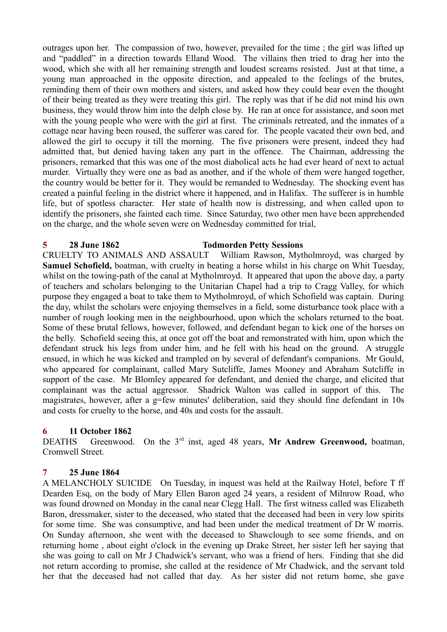outrages upon her. The compassion of two, however, prevailed for the time ; the girl was lifted up and "paddled" in a direction towards Elland Wood. The villains then tried to drag her into the wood, which she with all her remaining strength and loudest screams resisted. Just at that time, a young man approached in the opposite direction, and appealed to the feelings of the brutes, reminding them of their own mothers and sisters, and asked how they could bear even the thought of their being treated as they were treating this girl. The reply was that if he did not mind his own business, they would throw him into the delph close by. He ran at once for assistance, and soon met with the young people who were with the girl at first. The criminals retreated, and the inmates of a cottage near having been roused, the sufferer was cared for. The people vacated their own bed, and allowed the girl to occupy it till the morning. The five prisoners were present, indeed they had admitted that, but denied having taken any part in the offence. The Chairman, addressing the prisoners, remarked that this was one of the most diabolical acts he had ever heard of next to actual murder. Virtually they were one as bad as another, and if the whole of them were hanged together, the country would be better for it. They would be remanded to Wednesday. The shocking event has created a painful feeling in the district where it happened, and in Halifax. The sufferer is in humble life, but of spotless character. Her state of health now is distressing, and when called upon to identify the prisoners, she fainted each time. Since Saturday, two other men have been apprehended on the charge, and the whole seven were on Wednesday committed for trial,

## **5 28 June 1862 Todmorden Petty Sessions**

CRUELTY TO ANIMALS AND ASSAULT William Rawson, Mytholmroyd, was charged by **Samuel Schofield,** boatman, with cruelty in beating a horse whilst in his charge on Whit Tuesday, whilst on the towing-path of the canal at Mytholmroyd. It appeared that upon the above day, a party of teachers and scholars belonging to the Unitarian Chapel had a trip to Cragg Valley, for which purpose they engaged a boat to take them to Mytholmroyd, of which Schofield was captain. During the day, whilst the scholars were enjoying themselves in a field, some disturbance took place with a number of rough looking men in the neighbourhood, upon which the scholars returned to the boat. Some of these brutal fellows, however, followed, and defendant began to kick one of the horses on the belly. Schofield seeing this, at once got off the boat and remonstrated with him, upon which the defendant struck his legs from under him, and he fell with his head on the ground. A struggle ensued, in which he was kicked and trampled on by several of defendant's companions. Mr Gould, who appeared for complainant, called Mary Sutcliffe, James Mooney and Abraham Sutcliffe in support of the case. Mr Blomley appeared for defendant, and denied the charge, and elicited that complainant was the actual aggressor. Shadrick Walton was called in support of this. The magistrates, however, after a g=few minutes' deliberation, said they should fine defendant in  $10s$ and costs for cruelty to the horse, and 40s and costs for the assault.

# **6 11 October 1862**

DEATHS Greenwood. On the 3<sup>rd</sup> inst, aged 48 years, Mr Andrew Greenwood, boatman, Cromwell Street.

## **7 25 June 1864**

A MELANCHOLY SUICIDE On Tuesday, in inquest was held at the Railway Hotel, before T ff Dearden Esq, on the body of Mary Ellen Baron aged 24 years, a resident of Milnrow Road, who was found drowned on Monday in the canal near Clegg Hall. The first witness called was Elizabeth Baron, dressmaker, sister to the deceased, who stated that the deceased had been in very low spirits for some time. She was consumptive, and had been under the medical treatment of Dr W morris. On Sunday afternoon, she went with the deceased to Shawclough to see some friends, and on returning home , about eight o'clock in the evening up Drake Street, her sister left her saying that she was going to call on Mr J Chadwick's servant, who was a friend of hers. Finding that she did not return according to promise, she called at the residence of Mr Chadwick, and the servant told her that the deceased had not called that day. As her sister did not return home, she gave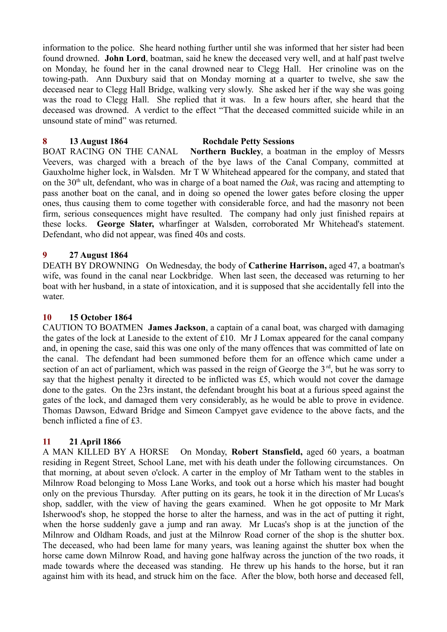information to the police. She heard nothing further until she was informed that her sister had been found drowned. **John Lord**, boatman, said he knew the deceased very well, and at half past twelve on Monday, he found her in the canal drowned near to Clegg Hall. Her crinoline was on the towing-path. Ann Duxbury said that on Monday morning at a quarter to twelve, she saw the deceased near to Clegg Hall Bridge, walking very slowly. She asked her if the way she was going was the road to Clegg Hall. She replied that it was. In a few hours after, she heard that the deceased was drowned. A verdict to the effect "That the deceased committed suicide while in an unsound state of mind" was returned.

# **8 13 August 1864 Rochdale Petty Sessions**

BOAT RACING ON THE CANAL **Northern Buckley**, a boatman in the employ of Messrs Veevers, was charged with a breach of the bye laws of the Canal Company, committed at Gauxholme higher lock, in Walsden. Mr T W Whitehead appeared for the company, and stated that on the 30<sup>th</sup> ult, defendant, who was in charge of a boat named the *Oak*, was racing and attempting to pass another boat on the canal, and in doing so opened the lower gates before closing the upper ones, thus causing them to come together with considerable force, and had the masonry not been firm, serious consequences might have resulted. The company had only just finished repairs at these locks. **George Slater,** wharfinger at Walsden, corroborated Mr Whitehead's statement. Defendant, who did not appear, was fined 40s and costs.

## **9 27 August 1864**

DEATH BY DROWNING On Wednesday, the body of **Catherine Harrison,** aged 47, a boatman's wife, was found in the canal near Lockbridge. When last seen, the deceased was returning to her boat with her husband, in a state of intoxication, and it is supposed that she accidentally fell into the water.

## **10 15 October 1864**

CAUTION TO BOATMEN **James Jackson**, a captain of a canal boat, was charged with damaging the gates of the lock at Laneside to the extent of £10. Mr J Lomax appeared for the canal company and, in opening the case, said this was one only of the many offences that was committed of late on the canal. The defendant had been summoned before them for an offence which came under a section of an act of parliament, which was passed in the reign of George the  $3<sup>rd</sup>$ , but he was sorry to say that the highest penalty it directed to be inflicted was £5, which would not cover the damage done to the gates. On the 23rs instant, the defendant brought his boat at a furious speed against the gates of the lock, and damaged them very considerably, as he would be able to prove in evidence. Thomas Dawson, Edward Bridge and Simeon Campyet gave evidence to the above facts, and the bench inflicted a fine of £3.

# **11 21 April 1866**

A MAN KILLED BY A HORSE On Monday, **Robert Stansfield,** aged 60 years, a boatman residing in Regent Street, School Lane, met with his death under the following circumstances. On that morning, at about seven o'clock. A carter in the employ of Mr Tatham went to the stables in Milnrow Road belonging to Moss Lane Works, and took out a horse which his master had bought only on the previous Thursday. After putting on its gears, he took it in the direction of Mr Lucas's shop, saddler, with the view of having the gears examined. When he got opposite to Mr Mark Isherwood's shop, he stopped the horse to alter the harness, and was in the act of putting it right, when the horse suddenly gave a jump and ran away. Mr Lucas's shop is at the junction of the Milnrow and Oldham Roads, and just at the Milnrow Road corner of the shop is the shutter box. The deceased, who had been lame for many years, was leaning against the shutter box when the horse came down Milnrow Road, and having gone halfway across the junction of the two roads, it made towards where the deceased was standing. He threw up his hands to the horse, but it ran against him with its head, and struck him on the face. After the blow, both horse and deceased fell,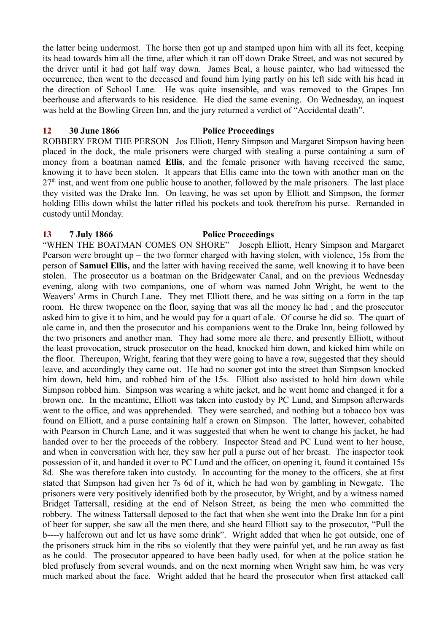the latter being undermost. The horse then got up and stamped upon him with all its feet, keeping its head towards him all the time, after which it ran off down Drake Street, and was not secured by the driver until it had got half way down. James Beal, a house painter, who had witnessed the occurrence, then went to the deceased and found him lying partly on his left side with his head in the direction of School Lane. He was quite insensible, and was removed to the Grapes Inn beerhouse and afterwards to his residence. He died the same evening. On Wednesday, an inquest was held at the Bowling Green Inn, and the jury returned a verdict of "Accidental death".

#### **12 30 June 1866 Police Proceedings**

ROBBERY FROM THE PERSON Jos Elliott, Henry Simpson and Margaret Simpson having been placed in the dock, the male prisoners were charged with stealing a purse containing a sum of money from a boatman named **Ellis**, and the female prisoner with having received the same, knowing it to have been stolen. It appears that Ellis came into the town with another man on the  $27<sup>th</sup>$  inst, and went from one public house to another, followed by the male prisoners. The last place they visited was the Drake Inn. On leaving, he was set upon by Elliott and Simpson, the former holding Ellis down whilst the latter rifled his pockets and took therefrom his purse. Remanded in custody until Monday.

## **13 7 July 1866 Police Proceedings**

"WHEN THE BOATMAN COMES ON SHORE" Joseph Elliott, Henry Simpson and Margaret Pearson were brought up – the two former charged with having stolen, with violence, 15s from the person of **Samuel Ellis,** and the latter with having received the same, well knowing it to have been stolen. The prosecutor us a boatman on the Bridgewater Canal, and on the previous Wednesday evening, along with two companions, one of whom was named John Wright, he went to the Weavers' Arms in Church Lane. They met Elliott there, and he was sitting on a form in the tap room. He threw twopence on the floor, saying that was all the money he had ; and the prosecutor asked him to give it to him, and he would pay for a quart of ale. Of course he did so. The quart of ale came in, and then the prosecutor and his companions went to the Drake Inn, being followed by the two prisoners and another man. They had some more ale there, and presently Elliott, without the least provocation, struck prosecutor on the head, knocked him down, and kicked him while on the floor. Thereupon, Wright, fearing that they were going to have a row, suggested that they should leave, and accordingly they came out. He had no sooner got into the street than Simpson knocked him down, held him, and robbed him of the 15s. Elliott also assisted to hold him down while Simpson robbed him. Simpson was wearing a white jacket, and he went home and changed it for a brown one. In the meantime, Elliott was taken into custody by PC Lund, and Simpson afterwards went to the office, and was apprehended. They were searched, and nothing but a tobacco box was found on Elliott, and a purse containing half a crown on Simpson. The latter, however, cohabited with Pearson in Church Lane, and it was suggested that when he went to change his jacket, he had handed over to her the proceeds of the robbery. Inspector Stead and PC Lund went to her house, and when in conversation with her, they saw her pull a purse out of her breast. The inspector took possession of it, and handed it over to PC Lund and the officer, on opening it, found it contained 15s 8d. She was therefore taken into custody. In accounting for the money to the officers, she at first stated that Simpson had given her 7s 6d of it, which he had won by gambling in Newgate. The prisoners were very positively identified both by the prosecutor, by Wright, and by a witness named Bridget Tattersall, residing at the end of Nelson Street, as being the men who committed the robbery. The witness Tattersall deposed to the fact that when she went into the Drake Inn for a pint of beer for supper, she saw all the men there, and she heard Elliott say to the prosecutor, "Pull the b----y halfcrown out and let us have some drink". Wright added that when he got outside, one of the prisoners struck him in the ribs so violently that they were painful yet, and he ran away as fast as he could. The prosecutor appeared to have been badly used, for when at the police station he bled profusely from several wounds, and on the next morning when Wright saw him, he was very much marked about the face. Wright added that he heard the prosecutor when first attacked call